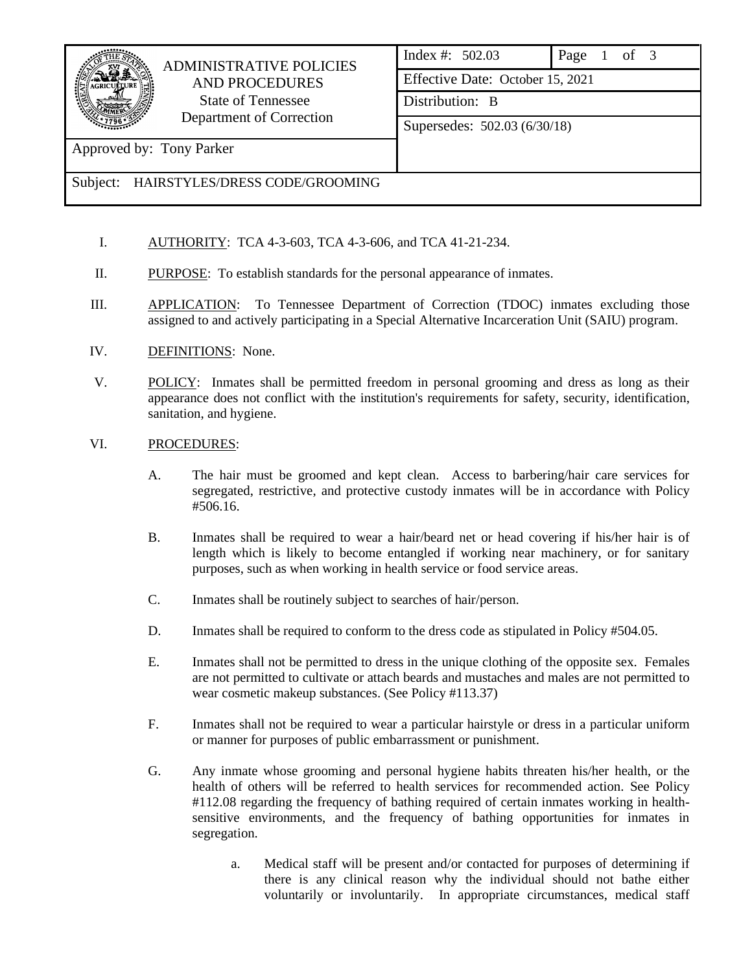

## ADMINISTRATIVE POLICIES AND PROCEDURES State of Tennessee Department of Correction

| Index #: $502.03$                | Page 1 of 3 |  |  |  |  |  |  |  |
|----------------------------------|-------------|--|--|--|--|--|--|--|
| Effective Date: October 15, 2021 |             |  |  |  |  |  |  |  |
| Distribution: B                  |             |  |  |  |  |  |  |  |

Supersedes: 502.03 (6/30/18)

Approved by: Tony Parker

Subject: HAIRSTYLES/DRESS CODE/GROOMING

- I. AUTHORITY: TCA 4-3-603, TCA 4-3-606, and TCA 41-21-234.
- II. PURPOSE: To establish standards for the personal appearance of inmates.
- III. APPLICATION: To Tennessee Department of Correction (TDOC) inmates excluding those assigned to and actively participating in a Special Alternative Incarceration Unit (SAIU) program.
- IV. DEFINITIONS: None.
- V. POLICY: Inmates shall be permitted freedom in personal grooming and dress as long as their appearance does not conflict with the institution's requirements for safety, security, identification, sanitation, and hygiene.

## VI. PROCEDURES:

- A. The hair must be groomed and kept clean. Access to barbering/hair care services for segregated, restrictive, and protective custody inmates will be in accordance with Policy #506.16.
- B. Inmates shall be required to wear a hair/beard net or head covering if his/her hair is of length which is likely to become entangled if working near machinery, or for sanitary purposes, such as when working in health service or food service areas.
- C. Inmates shall be routinely subject to searches of hair/person.
- D. Inmates shall be required to conform to the dress code as stipulated in Policy #504.05.
- E. Inmates shall not be permitted to dress in the unique clothing of the opposite sex. Females are not permitted to cultivate or attach beards and mustaches and males are not permitted to wear cosmetic makeup substances. (See Policy #113.37)
- F. Inmates shall not be required to wear a particular hairstyle or dress in a particular uniform or manner for purposes of public embarrassment or punishment.
- G. Any inmate whose grooming and personal hygiene habits threaten his/her health, or the health of others will be referred to health services for recommended action. See Policy #112.08 regarding the frequency of bathing required of certain inmates working in healthsensitive environments, and the frequency of bathing opportunities for inmates in segregation.
	- a. Medical staff will be present and/or contacted for purposes of determining if there is any clinical reason why the individual should not bathe either voluntarily or involuntarily. In appropriate circumstances, medical staff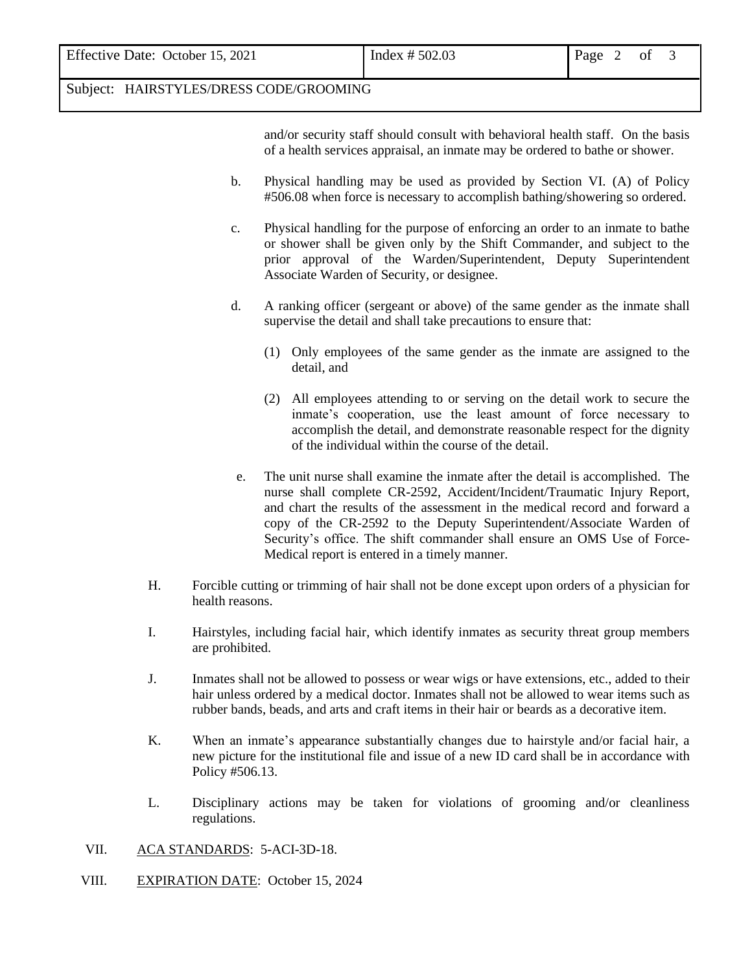| Effective Date: October 15, 2021 | Index $# 502.03$ | Page 2 of |  |  |
|----------------------------------|------------------|-----------|--|--|
|                                  |                  |           |  |  |

## Subject: HAIRSTYLES/DRESS CODE/GROOMING

and/or security staff should consult with behavioral health staff. On the basis of a health services appraisal, an inmate may be ordered to bathe or shower.

- b. Physical handling may be used as provided by Section VI. (A) of Policy #506.08 when force is necessary to accomplish bathing/showering so ordered.
- c. Physical handling for the purpose of enforcing an order to an inmate to bathe or shower shall be given only by the Shift Commander, and subject to the prior approval of the Warden/Superintendent, Deputy Superintendent Associate Warden of Security, or designee.
- d. A ranking officer (sergeant or above) of the same gender as the inmate shall supervise the detail and shall take precautions to ensure that:
	- (1) Only employees of the same gender as the inmate are assigned to the detail, and
	- (2) All employees attending to or serving on the detail work to secure the inmate's cooperation, use the least amount of force necessary to accomplish the detail, and demonstrate reasonable respect for the dignity of the individual within the course of the detail.
- e. The unit nurse shall examine the inmate after the detail is accomplished. The nurse shall complete CR-2592, Accident/Incident/Traumatic Injury Report, and chart the results of the assessment in the medical record and forward a copy of the CR-2592 to the Deputy Superintendent/Associate Warden of Security's office. The shift commander shall ensure an OMS Use of Force-Medical report is entered in a timely manner.
- H. Forcible cutting or trimming of hair shall not be done except upon orders of a physician for health reasons.
- I. Hairstyles, including facial hair, which identify inmates as security threat group members are prohibited.
- J. Inmates shall not be allowed to possess or wear wigs or have extensions, etc., added to their hair unless ordered by a medical doctor. Inmates shall not be allowed to wear items such as rubber bands, beads, and arts and craft items in their hair or beards as a decorative item.
- K. When an inmate's appearance substantially changes due to hairstyle and/or facial hair, a new picture for the institutional file and issue of a new ID card shall be in accordance with Policy #506.13.
- L. Disciplinary actions may be taken for violations of grooming and/or cleanliness regulations.
- VII. ACA STANDARDS: 5-ACI-3D-18.
- VIII. EXPIRATION DATE: October 15, 2024